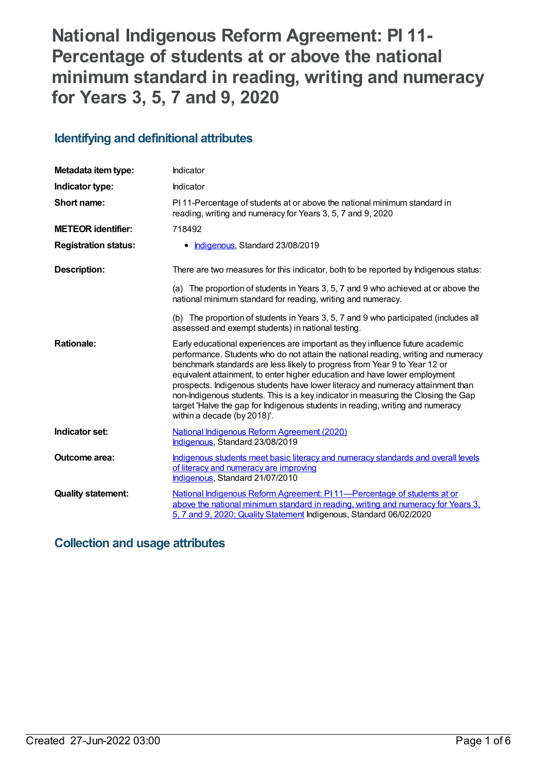# **National Indigenous Reform Agreement: PI 11- Percentage of students at or above the national minimum standard in reading, writing and numeracy for Years 3, 5, 7 and 9, 2020**

# **Identifying and definitional attributes**

| Metadata item type:         | Indicator                                                                                                                                                                                                                                                                                                                                                                                                                                                                                                                                                                                                               |
|-----------------------------|-------------------------------------------------------------------------------------------------------------------------------------------------------------------------------------------------------------------------------------------------------------------------------------------------------------------------------------------------------------------------------------------------------------------------------------------------------------------------------------------------------------------------------------------------------------------------------------------------------------------------|
| Indicator type:             | Indicator                                                                                                                                                                                                                                                                                                                                                                                                                                                                                                                                                                                                               |
| Short name:                 | PI 11-Percentage of students at or above the national minimum standard in<br>reading, writing and numeracy for Years 3, 5, 7 and 9, 2020                                                                                                                                                                                                                                                                                                                                                                                                                                                                                |
| <b>METEOR identifier:</b>   | 718492                                                                                                                                                                                                                                                                                                                                                                                                                                                                                                                                                                                                                  |
| <b>Registration status:</b> | • Indigenous, Standard 23/08/2019                                                                                                                                                                                                                                                                                                                                                                                                                                                                                                                                                                                       |
| <b>Description:</b>         | There are two measures for this indicator, both to be reported by Indigenous status:                                                                                                                                                                                                                                                                                                                                                                                                                                                                                                                                    |
|                             | (a) The proportion of students in Years 3, 5, 7 and 9 who achieved at or above the<br>national minimum standard for reading, writing and numeracy.                                                                                                                                                                                                                                                                                                                                                                                                                                                                      |
|                             | (b) The proportion of students in Years 3, 5, 7 and 9 who participated (includes all<br>assessed and exempt students) in national testing.                                                                                                                                                                                                                                                                                                                                                                                                                                                                              |
| <b>Rationale:</b>           | Early educational experiences are important as they influence future academic<br>performance. Students who do not attain the national reading, writing and numeracy<br>benchmark standards are less likely to progress from Year 9 to Year 12 or<br>equivalent attainment, to enter higher education and have lower employment<br>prospects. Indigenous students have lower literacy and numeracy attainment than<br>non-Indigenous students. This is a key indicator in measuring the Closing the Gap<br>target 'Halve the gap for Indigenous students in reading, writing and numeracy<br>within a decade (by 2018)'. |
| Indicator set:              | <b>National Indigenous Reform Agreement (2020)</b><br>Indigenous, Standard 23/08/2019                                                                                                                                                                                                                                                                                                                                                                                                                                                                                                                                   |
| Outcome area:               | Indigenous students meet basic literacy and numeracy standards and overall levels<br>of literacy and numeracy are improving<br>Indigenous, Standard 21/07/2010                                                                                                                                                                                                                                                                                                                                                                                                                                                          |
| <b>Quality statement:</b>   | National Indigenous Reform Agreement: PI 11—Percentage of students at or<br>above the national minimum standard in reading, writing and numeracy for Years 3,<br>5, 7 and 9, 2020; Quality Statement Indigenous, Standard 06/02/2020                                                                                                                                                                                                                                                                                                                                                                                    |

# **Collection and usage attributes**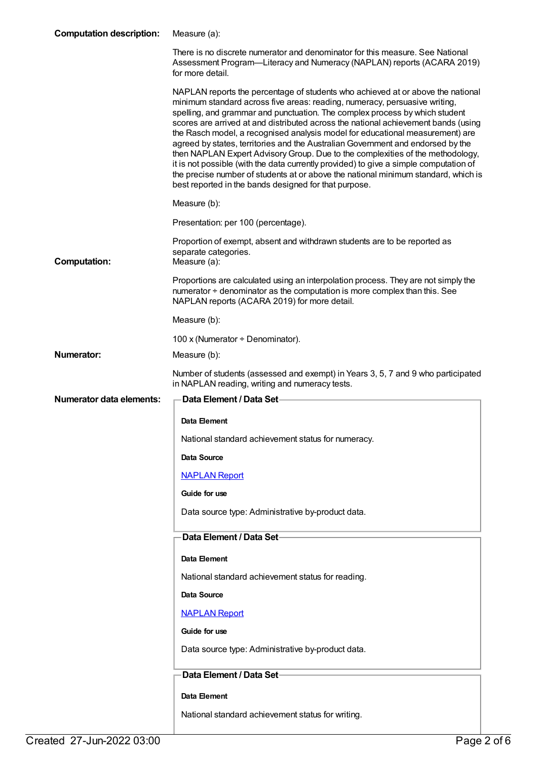## **Computation description:** Measure (a):

|                                 | There is no discrete numerator and denominator for this measure. See National<br>Assessment Program—Literacy and Numeracy (NAPLAN) reports (ACARA 2019)<br>for more detail.                                                                                                                                                                                                                                                                                                                                                                                                                                                                                                                                                                                                                                                      |
|---------------------------------|----------------------------------------------------------------------------------------------------------------------------------------------------------------------------------------------------------------------------------------------------------------------------------------------------------------------------------------------------------------------------------------------------------------------------------------------------------------------------------------------------------------------------------------------------------------------------------------------------------------------------------------------------------------------------------------------------------------------------------------------------------------------------------------------------------------------------------|
|                                 | NAPLAN reports the percentage of students who achieved at or above the national<br>minimum standard across five areas: reading, numeracy, persuasive writing,<br>spelling, and grammar and punctuation. The complex process by which student<br>scores are arrived at and distributed across the national achievement bands (using<br>the Rasch model, a recognised analysis model for educational measurement) are<br>agreed by states, territories and the Australian Government and endorsed by the<br>then NAPLAN Expert Advisory Group. Due to the complexities of the methodology,<br>it is not possible (with the data currently provided) to give a simple computation of<br>the precise number of students at or above the national minimum standard, which is<br>best reported in the bands designed for that purpose. |
|                                 | Measure (b):                                                                                                                                                                                                                                                                                                                                                                                                                                                                                                                                                                                                                                                                                                                                                                                                                     |
|                                 | Presentation: per 100 (percentage).                                                                                                                                                                                                                                                                                                                                                                                                                                                                                                                                                                                                                                                                                                                                                                                              |
| <b>Computation:</b>             | Proportion of exempt, absent and withdrawn students are to be reported as<br>separate categories.<br>Measure (a):                                                                                                                                                                                                                                                                                                                                                                                                                                                                                                                                                                                                                                                                                                                |
|                                 | Proportions are calculated using an interpolation process. They are not simply the<br>numerator ÷ denominator as the computation is more complex than this. See<br>NAPLAN reports (ACARA 2019) for more detail.                                                                                                                                                                                                                                                                                                                                                                                                                                                                                                                                                                                                                  |
|                                 | Measure (b):                                                                                                                                                                                                                                                                                                                                                                                                                                                                                                                                                                                                                                                                                                                                                                                                                     |
|                                 | 100 x (Numerator + Denominator).                                                                                                                                                                                                                                                                                                                                                                                                                                                                                                                                                                                                                                                                                                                                                                                                 |
| Numerator:                      | Measure (b):                                                                                                                                                                                                                                                                                                                                                                                                                                                                                                                                                                                                                                                                                                                                                                                                                     |
|                                 | Number of students (assessed and exempt) in Years 3, 5, 7 and 9 who participated<br>in NAPLAN reading, writing and numeracy tests.                                                                                                                                                                                                                                                                                                                                                                                                                                                                                                                                                                                                                                                                                               |
| <b>Numerator data elements:</b> | Data Element / Data Set-                                                                                                                                                                                                                                                                                                                                                                                                                                                                                                                                                                                                                                                                                                                                                                                                         |
|                                 |                                                                                                                                                                                                                                                                                                                                                                                                                                                                                                                                                                                                                                                                                                                                                                                                                                  |
|                                 | Data Element                                                                                                                                                                                                                                                                                                                                                                                                                                                                                                                                                                                                                                                                                                                                                                                                                     |
|                                 | National standard achievement status for numeracy.                                                                                                                                                                                                                                                                                                                                                                                                                                                                                                                                                                                                                                                                                                                                                                               |
|                                 | Data Source                                                                                                                                                                                                                                                                                                                                                                                                                                                                                                                                                                                                                                                                                                                                                                                                                      |
|                                 | <b>NAPLAN Report</b>                                                                                                                                                                                                                                                                                                                                                                                                                                                                                                                                                                                                                                                                                                                                                                                                             |
|                                 | Guide for use                                                                                                                                                                                                                                                                                                                                                                                                                                                                                                                                                                                                                                                                                                                                                                                                                    |
|                                 | Data source type: Administrative by-product data.                                                                                                                                                                                                                                                                                                                                                                                                                                                                                                                                                                                                                                                                                                                                                                                |
|                                 | Data Element / Data Set-                                                                                                                                                                                                                                                                                                                                                                                                                                                                                                                                                                                                                                                                                                                                                                                                         |
|                                 | Data Element                                                                                                                                                                                                                                                                                                                                                                                                                                                                                                                                                                                                                                                                                                                                                                                                                     |
|                                 | National standard achievement status for reading.                                                                                                                                                                                                                                                                                                                                                                                                                                                                                                                                                                                                                                                                                                                                                                                |
|                                 | <b>Data Source</b>                                                                                                                                                                                                                                                                                                                                                                                                                                                                                                                                                                                                                                                                                                                                                                                                               |
|                                 | <b>NAPLAN Report</b>                                                                                                                                                                                                                                                                                                                                                                                                                                                                                                                                                                                                                                                                                                                                                                                                             |
|                                 | Guide for use                                                                                                                                                                                                                                                                                                                                                                                                                                                                                                                                                                                                                                                                                                                                                                                                                    |
|                                 | Data source type: Administrative by-product data.                                                                                                                                                                                                                                                                                                                                                                                                                                                                                                                                                                                                                                                                                                                                                                                |
|                                 | Data Element / Data Set                                                                                                                                                                                                                                                                                                                                                                                                                                                                                                                                                                                                                                                                                                                                                                                                          |
|                                 | Data Element                                                                                                                                                                                                                                                                                                                                                                                                                                                                                                                                                                                                                                                                                                                                                                                                                     |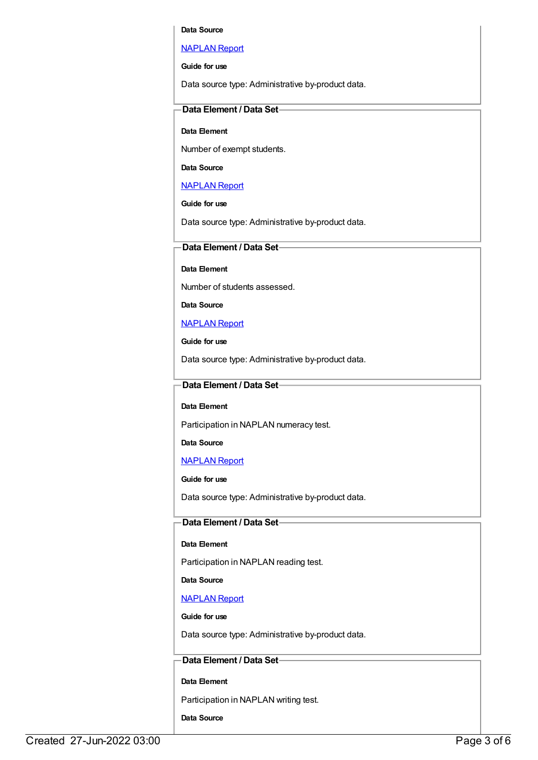#### **Data Source**

#### [NAPLAN](https://meteor.aihw.gov.au/content/458253) Report

**Guide for use**

Data source type: Administrative by-product data.

### **Data Element / Data Set**

#### **Data Element**

Number of exempt students.

#### **Data Source**

### [NAPLAN](https://meteor.aihw.gov.au/content/458253) Report

### **Guide for use**

Data source type: Administrative by-product data.

#### **Data Element / Data Set**

**Data Element**

Number of students assessed.

**Data Source**

#### [NAPLAN](https://meteor.aihw.gov.au/content/458253) Report

**Guide for use**

Data source type: Administrative by-product data.

### **Data Element / Data Set**

#### **Data Element**

Participation in NAPLAN numeracy test.

**Data Source**

[NAPLAN](https://meteor.aihw.gov.au/content/458253) Report

**Guide for use**

Data source type: Administrative by-product data.

## **Data Element / Data Set**

#### **Data Element**

Participation in NAPLAN reading test.

#### **Data Source**

#### [NAPLAN](https://meteor.aihw.gov.au/content/458253) Report

**Guide for use**

Data source type: Administrative by-product data.

## **Data Element / Data Set**

#### **Data Element**

Participation in NAPLAN writing test.

**Data Source**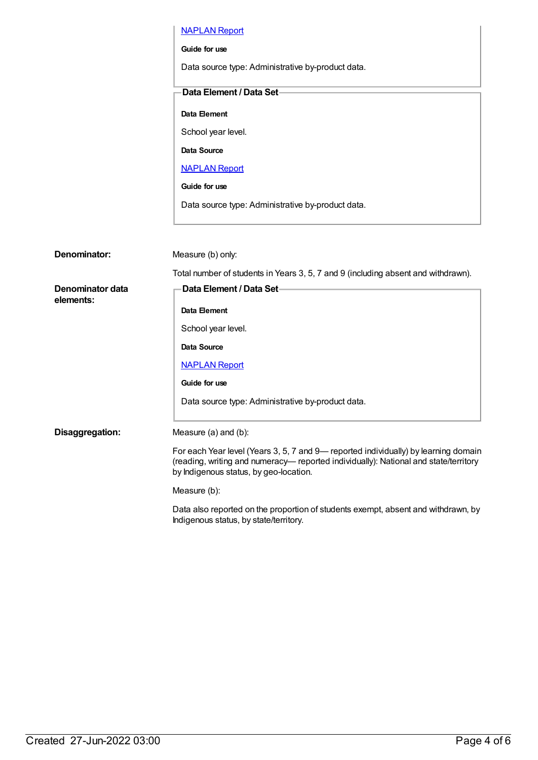|                               | <b>NAPLAN Report</b>                                                                                                                                                                                                 |
|-------------------------------|----------------------------------------------------------------------------------------------------------------------------------------------------------------------------------------------------------------------|
|                               | Guide for use                                                                                                                                                                                                        |
|                               | Data source type: Administrative by-product data.                                                                                                                                                                    |
|                               | Data Element / Data Set-                                                                                                                                                                                             |
|                               |                                                                                                                                                                                                                      |
|                               | Data Element                                                                                                                                                                                                         |
|                               | School year level.                                                                                                                                                                                                   |
|                               | <b>Data Source</b>                                                                                                                                                                                                   |
|                               | <b>NAPLAN Report</b>                                                                                                                                                                                                 |
|                               | Guide for use                                                                                                                                                                                                        |
|                               | Data source type: Administrative by-product data.                                                                                                                                                                    |
|                               |                                                                                                                                                                                                                      |
|                               |                                                                                                                                                                                                                      |
| Denominator:                  | Measure (b) only:                                                                                                                                                                                                    |
|                               | Total number of students in Years 3, 5, 7 and 9 (including absent and withdrawn).                                                                                                                                    |
| Denominator data<br>elements: | Data Element / Data Set-                                                                                                                                                                                             |
|                               | Data Element                                                                                                                                                                                                         |
|                               | School year level.                                                                                                                                                                                                   |
|                               | Data Source                                                                                                                                                                                                          |
|                               | <b>NAPLAN Report</b>                                                                                                                                                                                                 |
|                               | Guide for use                                                                                                                                                                                                        |
|                               | Data source type: Administrative by-product data.                                                                                                                                                                    |
| Disaggregation:               | Measure (a) and (b):                                                                                                                                                                                                 |
|                               | For each Year level (Years 3, 5, 7 and 9- reported individually) by learning domain<br>(reading, writing and numeracy-reported individually): National and state/territory<br>by Indigenous status, by geo-location. |
|                               | Measure (b):                                                                                                                                                                                                         |
|                               | Data also reported on the proportion of students exempt, absent and withdrawn, by<br>Indigenous status, by state/territory.                                                                                          |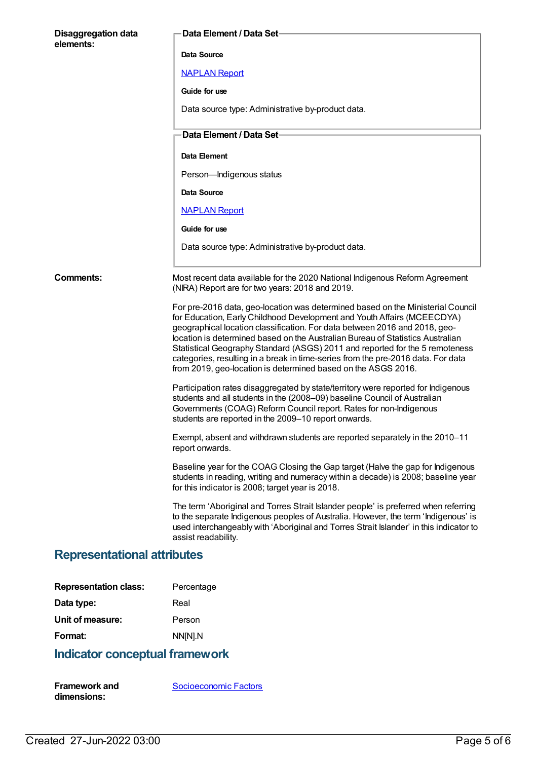| <b>Disaggregation data</b><br>elements: | Data Element / Data Set                                                                                                                                                                                                                                                                                                                                                                                                                                                                                                                                         |
|-----------------------------------------|-----------------------------------------------------------------------------------------------------------------------------------------------------------------------------------------------------------------------------------------------------------------------------------------------------------------------------------------------------------------------------------------------------------------------------------------------------------------------------------------------------------------------------------------------------------------|
|                                         | Data Source                                                                                                                                                                                                                                                                                                                                                                                                                                                                                                                                                     |
|                                         | <b>NAPLAN Report</b>                                                                                                                                                                                                                                                                                                                                                                                                                                                                                                                                            |
|                                         | Guide for use                                                                                                                                                                                                                                                                                                                                                                                                                                                                                                                                                   |
|                                         | Data source type: Administrative by-product data.                                                                                                                                                                                                                                                                                                                                                                                                                                                                                                               |
|                                         | Data Element / Data Set-                                                                                                                                                                                                                                                                                                                                                                                                                                                                                                                                        |
|                                         | Data Element                                                                                                                                                                                                                                                                                                                                                                                                                                                                                                                                                    |
|                                         | Person-Indigenous status                                                                                                                                                                                                                                                                                                                                                                                                                                                                                                                                        |
|                                         | Data Source                                                                                                                                                                                                                                                                                                                                                                                                                                                                                                                                                     |
|                                         | <b>NAPLAN Report</b>                                                                                                                                                                                                                                                                                                                                                                                                                                                                                                                                            |
|                                         | Guide for use                                                                                                                                                                                                                                                                                                                                                                                                                                                                                                                                                   |
|                                         | Data source type: Administrative by-product data.                                                                                                                                                                                                                                                                                                                                                                                                                                                                                                               |
| <b>Comments:</b>                        | Most recent data available for the 2020 National Indigenous Reform Agreement<br>(NIRA) Report are for two years: 2018 and 2019.                                                                                                                                                                                                                                                                                                                                                                                                                                 |
|                                         | For pre-2016 data, geo-location was determined based on the Ministerial Council<br>for Education, Early Childhood Development and Youth Affairs (MCEECDYA)<br>geographical location classification. For data between 2016 and 2018, geo-<br>location is determined based on the Australian Bureau of Statistics Australian<br>Statistical Geography Standard (ASGS) 2011 and reported for the 5 remoteness<br>categories, resulting in a break in time-series from the pre-2016 data. For data<br>from 2019, geo-location is determined based on the ASGS 2016. |
|                                         | Participation rates disaggregated by state/territory were reported for Indigenous<br>students and all students in the (2008-09) baseline Council of Australian<br>Governments (COAG) Reform Council report. Rates for non-Indigenous<br>students are reported in the 2009-10 report onwards.                                                                                                                                                                                                                                                                    |
|                                         | Exempt, absent and withdrawn students are reported separately in the 2010-11<br>report onwards.                                                                                                                                                                                                                                                                                                                                                                                                                                                                 |
|                                         | Baseline year for the COAG Closing the Gap target (Halve the gap for Indigenous<br>students in reading, writing and numeracy within a decade) is 2008; baseline year<br>for this indicator is 2008; target year is 2018.                                                                                                                                                                                                                                                                                                                                        |
|                                         | The term 'Aboriginal and Torres Strait Islander people' is preferred when referring<br>to the separate Indigenous peoples of Australia. However, the term 'Indigenous' is<br>used interchangeably with 'Aboriginal and Torres Strait Islander' in this indicator to<br>assist readability.                                                                                                                                                                                                                                                                      |
| <b>Representational attributes</b>      |                                                                                                                                                                                                                                                                                                                                                                                                                                                                                                                                                                 |

| <b>Representation class:</b> | Percentage |
|------------------------------|------------|
| Data type:                   | Real       |
| Unit of measure:             | Person     |
| Format:                      | NN[N].N    |

# **Indicator conceptual framework**

| <b>Framework and</b> | Socioeconomic Factors |
|----------------------|-----------------------|
| dimensions:          |                       |